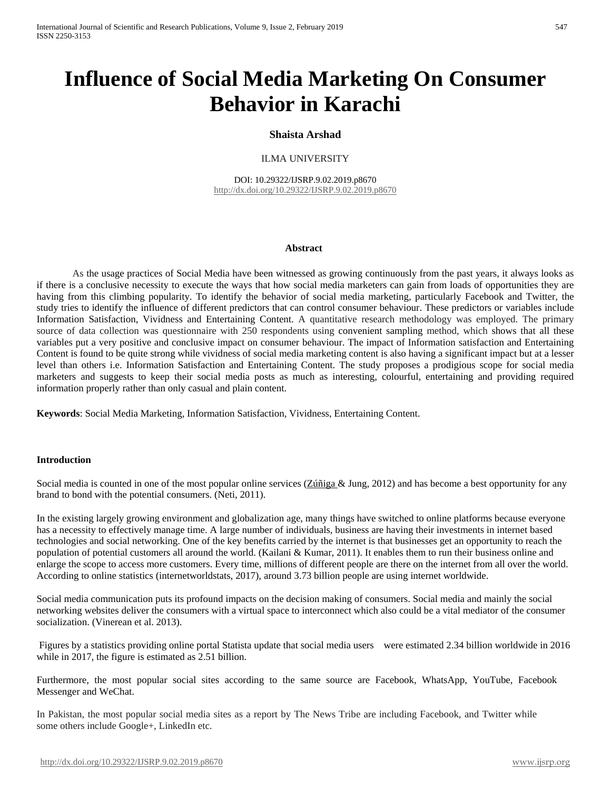# **Influence of Social Media Marketing On Consumer Behavior in Karachi**

#### **Shaista Arshad**

#### ILMA UNIVERSITY

DOI: 10.29322/IJSRP.9.02.2019.p8670 <http://dx.doi.org/10.29322/IJSRP.9.02.2019.p8670>

#### **Abstract**

As the usage practices of Social Media have been witnessed as growing continuously from the past years, it always looks as if there is a conclusive necessity to execute the ways that how social media marketers can gain from loads of opportunities they are having from this climbing popularity. To identify the behavior of social media marketing, particularly Facebook and Twitter, the study tries to identify the influence of different predictors that can control consumer behaviour. These predictors or variables include Information Satisfaction, Vividness and Entertaining Content. A quantitative research methodology was employed. The primary source of data collection was questionnaire with 250 respondents using convenient sampling method, which shows that all these variables put a very positive and conclusive impact on consumer behaviour. The impact of Information satisfaction and Entertaining Content is found to be quite strong while vividness of social media marketing content is also having a significant impact but at a lesser level than others i.e. Information Satisfaction and Entertaining Content. The study proposes a prodigious scope for social media marketers and suggests to keep their social media posts as much as interesting, colourful, entertaining and providing required information properly rather than only casual and plain content.

**Keywords**: Social Media Marketing, Information Satisfaction, Vividness, Entertaining Content.

#### **Introduction**

Social media is counted in one of the most popular online services [\(Zúñiga &](https://scholar.google.com.pk/citations?user=T3VspYkAAAAJ&hl=en&oi=sra) Jung, 2012) and has become a best opportunity for any brand to bond with the potential consumers. (Neti, 2011).

In the existing largely growing environment and globalization age, many things have switched to online platforms because everyone has a necessity to effectively manage time. A large number of individuals, business are having their investments in internet based technologies and social networking. One of the key benefits carried by the internet is that businesses get an opportunity to reach the population of potential customers all around the world. (Kailani & Kumar, 2011). It enables them to run their business online and enlarge the scope to access more customers. Every time, millions of different people are there on the internet from all over the world. According to online statistics (internetworldstats, 2017), around 3.73 billion people are using internet worldwide.

Social media communication puts its profound impacts on the decision making of consumers. Social media and mainly the social networking websites deliver the consumers with a virtual space to interconnect which also could be a vital mediator of the consumer socialization. (Vinerean et al. 2013).

Figures by a statistics providing online portal Statista update that social media users were estimated 2.34 billion worldwide in 2016 while in 2017, the figure is estimated as 2.51 billion.

Furthermore, the most popular social sites according to the same source are Facebook, WhatsApp, YouTube, Facebook Messenger and WeChat.

In Pakistan, the most popular social media sites as a report by The News Tribe are including Facebook, and Twitter while some others include Google+, LinkedIn etc.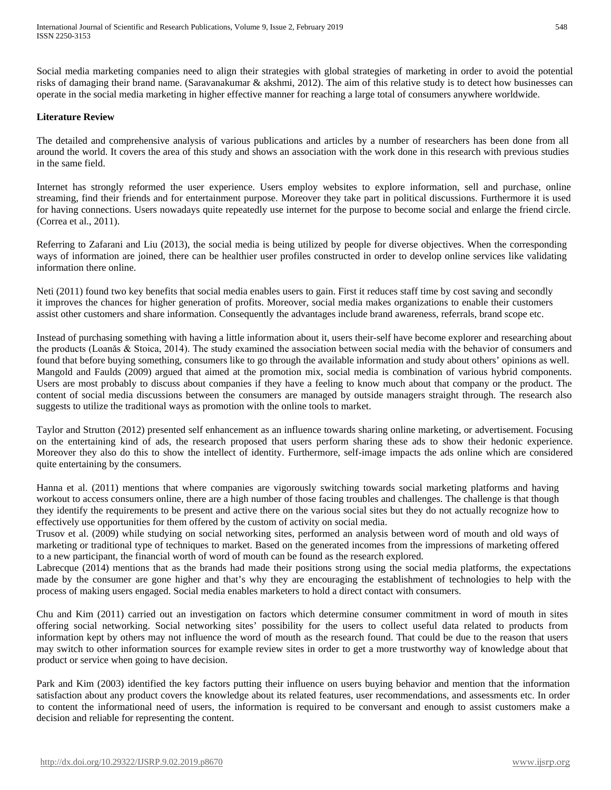Social media marketing companies need to align their strategies with global strategies of marketing in order to avoid the potential risks of damaging their brand name. (Saravanakumar & akshmi, 2012). The aim of this relative study is to detect how businesses can operate in the social media marketing in higher effective manner for reaching a large total of consumers anywhere worldwide.

#### **Literature Review**

The detailed and comprehensive analysis of various publications and articles by a number of researchers has been done from all around the world. It covers the area of this study and shows an association with the work done in this research with previous studies in the same field.

Internet has strongly reformed the user experience. Users employ websites to explore information, sell and purchase, online streaming, find their friends and for entertainment purpose. Moreover they take part in political discussions. Furthermore it is used for having connections. Users nowadays quite repeatedly use internet for the purpose to become social and enlarge the friend circle. (Correa et al., 2011).

Referring to Zafarani and Liu (2013), the social media is being utilized by people for diverse objectives. When the corresponding ways of information are joined, there can be healthier user profiles constructed in order to develop online services like validating information there online.

Neti (2011) found two key benefits that social media enables users to gain. First it reduces staff time by cost saving and secondly it improves the chances for higher generation of profits. Moreover, social media makes organizations to enable their customers assist other customers and share information. Consequently the advantages include brand awareness, referrals, brand scope etc.

Instead of purchasing something with having a little information about it, users their-self have become explorer and researching about the products (Loanăs & Stoica, 2014). The study examined the association between social media with the behavior of consumers and found that before buying something, consumers like to go through the available information and study about others' opinions as well. Mangold and Faulds (2009) argued that aimed at the promotion mix, social media is combination of various hybrid components. Users are most probably to discuss about companies if they have a feeling to know much about that company or the product. The content of social media discussions between the consumers are managed by outside managers straight through. The research also suggests to utilize the traditional ways as promotion with the online tools to market.

Taylor and Strutton (2012) presented self enhancement as an influence towards sharing online marketing, or advertisement. Focusing on the entertaining kind of ads, the research proposed that users perform sharing these ads to show their hedonic experience. Moreover they also do this to show the intellect of identity. Furthermore, self-image impacts the ads online which are considered quite entertaining by the consumers.

Hanna et al. (2011) mentions that where companies are vigorously switching towards social marketing platforms and having workout to access consumers online, there are a high number of those facing troubles and challenges. The challenge is that though they identify the requirements to be present and active there on the various social sites but they do not actually recognize how to effectively use opportunities for them offered by the custom of activity on social media.

Trusov et al. (2009) while studying on social networking sites, performed an analysis between word of mouth and old ways of marketing or traditional type of techniques to market. Based on the generated incomes from the impressions of marketing offered to a new participant, the financial worth of word of mouth can be found as the research explored.

Labrecque (2014) mentions that as the brands had made their positions strong using the social media platforms, the expectations made by the consumer are gone higher and that's why they are encouraging the establishment of technologies to help with the process of making users engaged. Social media enables marketers to hold a direct contact with consumers.

Chu and Kim (2011) carried out an investigation on factors which determine consumer commitment in word of mouth in sites offering social networking. Social networking sites' possibility for the users to collect useful data related to products from information kept by others may not influence the word of mouth as the research found. That could be due to the reason that users may switch to other information sources for example review sites in order to get a more trustworthy way of knowledge about that product or service when going to have decision.

Park and Kim (2003) identified the key factors putting their influence on users buying behavior and mention that the information satisfaction about any product covers the knowledge about its related features, user recommendations, and assessments etc. In order to content the informational need of users, the information is required to be conversant and enough to assist customers make a decision and reliable for representing the content.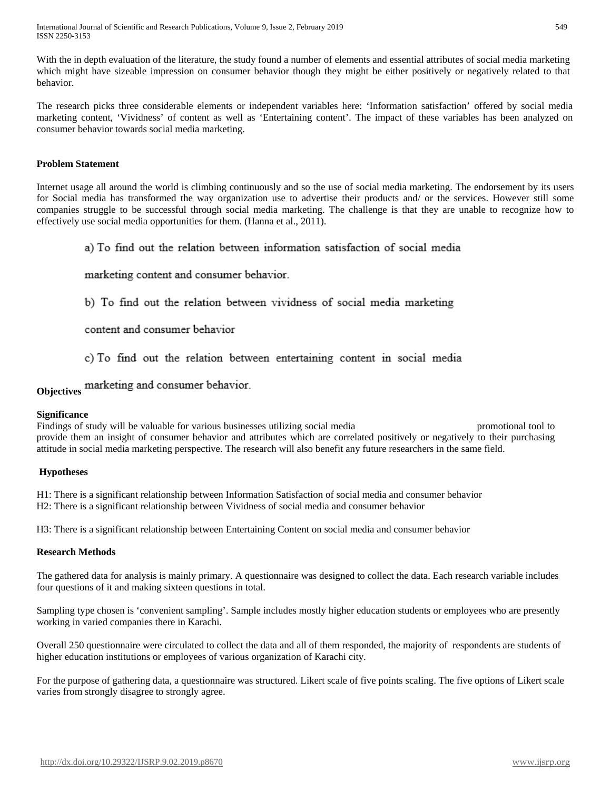With the in depth evaluation of the literature, the study found a number of elements and essential attributes of social media marketing which might have sizeable impression on consumer behavior though they might be either positively or negatively related to that behavior.

The research picks three considerable elements or independent variables here: 'Information satisfaction' offered by social media marketing content, 'Vividness' of content as well as 'Entertaining content'. The impact of these variables has been analyzed on consumer behavior towards social media marketing.

#### **Problem Statement**

Internet usage all around the world is climbing continuously and so the use of social media marketing. The endorsement by its users for Social media has transformed the way organization use to advertise their products and/ or the services. However still some companies struggle to be successful through social media marketing. The challenge is that they are unable to recognize how to effectively use social media opportunities for them. (Hanna et al., 2011).

a) To find out the relation between information satisfaction of social media

marketing content and consumer behavior.

b) To find out the relation between vividness of social media marketing

content and consumer behavior

c) To find out the relation between entertaining content in social media

**Objectives** marketing and consumer behavior.

#### **Significance**

Findings of study will be valuable for various businesses utilizing social media promotional tool to provide them an insight of consumer behavior and attributes which are correlated positively or negatively to their purchasing attitude in social media marketing perspective. The research will also benefit any future researchers in the same field.

#### **Hypotheses**

H1: There is a significant relationship between Information Satisfaction of social media and consumer behavior H2: There is a significant relationship between Vividness of social media and consumer behavior

H3: There is a significant relationship between Entertaining Content on social media and consumer behavior

#### **Research Methods**

The gathered data for analysis is mainly primary. A questionnaire was designed to collect the data. Each research variable includes four questions of it and making sixteen questions in total.

Sampling type chosen is 'convenient sampling'. Sample includes mostly higher education students or employees who are presently working in varied companies there in Karachi.

Overall 250 questionnaire were circulated to collect the data and all of them responded, the majority of respondents are students of higher education institutions or employees of various organization of Karachi city.

For the purpose of gathering data, a questionnaire was structured. Likert scale of five points scaling. The five options of Likert scale varies from strongly disagree to strongly agree.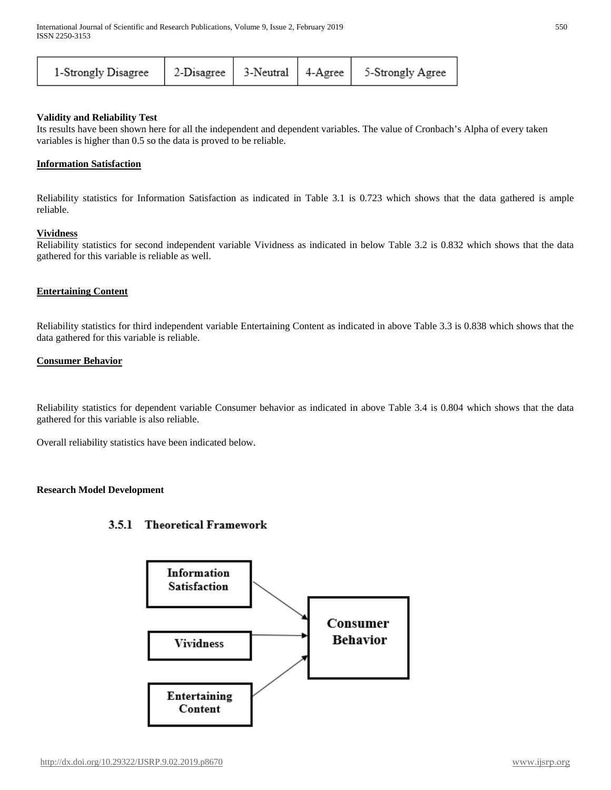| 1-Strongly Disagree   2-Disagree   3-Neutral   4-Agree   5-Strongly Agree |
|---------------------------------------------------------------------------|
|---------------------------------------------------------------------------|

#### **Validity and Reliability Test**

Its results have been shown here for all the independent and dependent variables. The value of Cronbach's Alpha of every taken variables is higher than 0.5 so the data is proved to be reliable.

#### **Information Satisfaction**

Reliability statistics for Information Satisfaction as indicated in Table 3.1 is 0.723 which shows that the data gathered is ample reliable.

#### **Vividness**

Reliability statistics for second independent variable Vividness as indicated in below Table 3.2 is 0.832 which shows that the data gathered for this variable is reliable as well.

#### **Entertaining Content**

Reliability statistics for third independent variable Entertaining Content as indicated in above Table 3.3 is 0.838 which shows that the data gathered for this variable is reliable.

#### **Consumer Behavior**

Reliability statistics for dependent variable Consumer behavior as indicated in above Table 3.4 is 0.804 which shows that the data gathered for this variable is also reliable.

Overall reliability statistics have been indicated below.

#### **Research Model Development**

## 3.5.1 Theoretical Framework

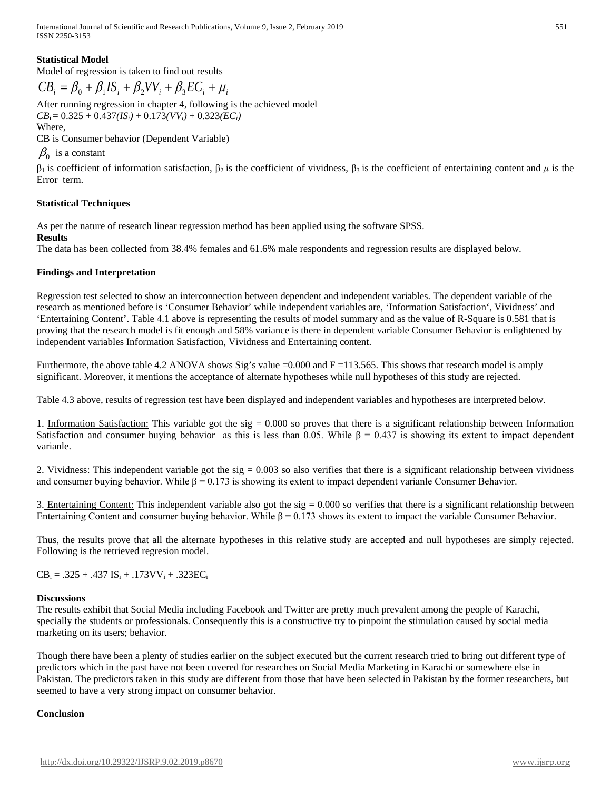International Journal of Scientific and Research Publications, Volume 9, Issue 2, February 2019 551 ISSN 2250-3153

#### **Statistical Model**

Model of regression is taken to find out results

$$
CB_i = \beta_0 + \beta_1 IS_i + \beta_2 VV_i + \beta_3 EC_i + \mu_i
$$

After running regression in chapter 4, following is the achieved model  $CB_i = 0.325 + 0.437*(IS<sub>i</sub>)* + 0.173*(VV<sub>i</sub>)* + 0.323*(EC<sub>i</sub>)*$ 

Where,

CB is Consumer behavior (Dependent Variable)

# $\beta_0$  is a constant

 $β<sub>1</sub>$  is coefficient of information satisfaction,  $β<sub>2</sub>$  is the coefficient of vividness,  $β<sub>3</sub>$  is the coefficient of entertaining content and *μ* is the Error term.

#### **Statistical Techniques**

As per the nature of research linear regression method has been applied using the software SPSS.

#### **Results**

The data has been collected from 38.4% females and 61.6% male respondents and regression results are displayed below.

#### **Findings and Interpretation**

Regression test selected to show an interconnection between dependent and independent variables. The dependent variable of the research as mentioned before is 'Consumer Behavior' while independent variables are, 'Information Satisfaction', Vividness' and 'Entertaining Content'. Table 4.1 above is representing the results of model summary and as the value of R-Square is 0.581 that is proving that the research model is fit enough and 58% variance is there in dependent variable Consumer Behavior is enlightened by independent variables Information Satisfaction, Vividness and Entertaining content.

Furthermore, the above table 4.2 ANOVA shows Sig's value =0.000 and F =113.565. This shows that research model is amply significant. Moreover, it mentions the acceptance of alternate hypotheses while null hypotheses of this study are rejected.

Table 4.3 above, results of regression test have been displayed and independent variables and hypotheses are interpreted below.

1. Information Satisfaction: This variable got the sig = 0.000 so proves that there is a significant relationship between Information Satisfaction and consumer buying behavior as this is less than 0.05. While  $\beta = 0.437$  is showing its extent to impact dependent varianle.

2. Vividness: This independent variable got the sig  $= 0.003$  so also verifies that there is a significant relationship between vividness and consumer buying behavior. While  $\beta = 0.173$  is showing its extent to impact dependent varianle Consumer Behavior.

3. Entertaining Content: This independent variable also got the sig  $= 0.000$  so verifies that there is a significant relationship between Entertaining Content and consumer buying behavior. While  $β = 0.173$  shows its extent to impact the variable Consumer Behavior.

Thus, the results prove that all the alternate hypotheses in this relative study are accepted and null hypotheses are simply rejected. Following is the retrieved regresion model.

 $CB_i = .325 + .437 IS_i + .173VV_i + .323EC_i$ 

#### **Discussions**

The results exhibit that Social Media including Facebook and Twitter are pretty much prevalent among the people of Karachi, specially the students or professionals. Consequently this is a constructive try to pinpoint the stimulation caused by social media marketing on its users; behavior.

Though there have been a plenty of studies earlier on the subject executed but the current research tried to bring out different type of predictors which in the past have not been covered for researches on Social Media Marketing in Karachi or somewhere else in Pakistan. The predictors taken in this study are different from those that have been selected in Pakistan by the former researchers, but seemed to have a very strong impact on consumer behavior.

#### **Conclusion**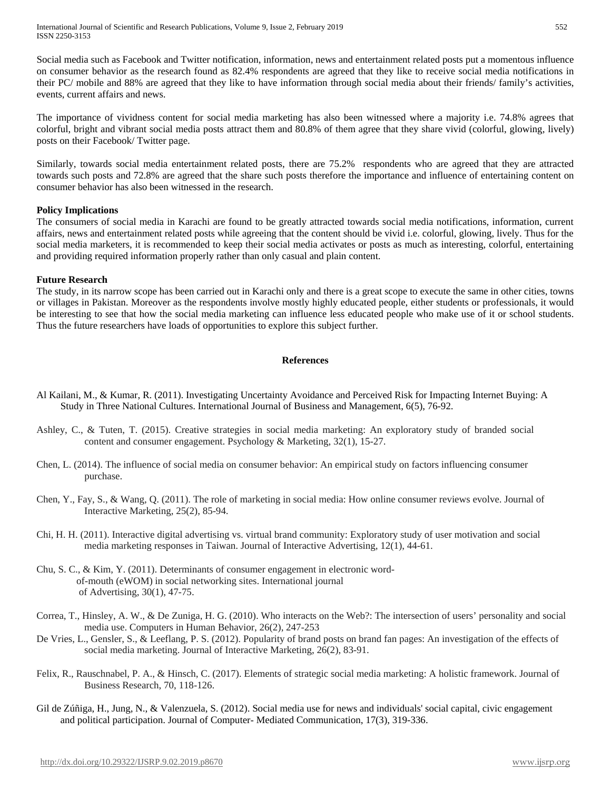International Journal of Scientific and Research Publications, Volume 9, Issue 2, February 2019 552 ISSN 2250-3153

Social media such as Facebook and Twitter notification, information, news and entertainment related posts put a momentous influence on consumer behavior as the research found as 82.4% respondents are agreed that they like to receive social media notifications in their PC/ mobile and 88% are agreed that they like to have information through social media about their friends/ family's activities, events, current affairs and news.

The importance of vividness content for social media marketing has also been witnessed where a majority i.e. 74.8% agrees that colorful, bright and vibrant social media posts attract them and 80.8% of them agree that they share vivid (colorful, glowing, lively) posts on their Facebook/ Twitter page.

Similarly, towards social media entertainment related posts, there are 75.2% respondents who are agreed that they are attracted towards such posts and 72.8% are agreed that the share such posts therefore the importance and influence of entertaining content on consumer behavior has also been witnessed in the research.

#### **Policy Implications**

The consumers of social media in Karachi are found to be greatly attracted towards social media notifications, information, current affairs, news and entertainment related posts while agreeing that the content should be vivid i.e. colorful, glowing, lively. Thus for the social media marketers, it is recommended to keep their social media activates or posts as much as interesting, colorful, entertaining and providing required information properly rather than only casual and plain content.

#### **Future Research**

The study, in its narrow scope has been carried out in Karachi only and there is a great scope to execute the same in other cities, towns or villages in Pakistan. Moreover as the respondents involve mostly highly educated people, either students or professionals, it would be interesting to see that how the social media marketing can influence less educated people who make use of it or school students. Thus the future researchers have loads of opportunities to explore this subject further.

#### **References**

- Al Kailani, M., & Kumar, R. (2011). Investigating Uncertainty Avoidance and Perceived Risk for Impacting Internet Buying: A Study in Three National Cultures. International Journal of Business and Management, 6(5), 76-92.
- Ashley, C., & Tuten, T. (2015). Creative strategies in social media marketing: An exploratory study of branded social content and consumer engagement. Psychology & Marketing, 32(1), 15-27.
- Chen, L. (2014). The influence of social media on consumer behavior: An empirical study on factors influencing consumer purchase.
- Chen, Y., Fay, S., & Wang, Q. (2011). The role of marketing in social media: How online consumer reviews evolve. Journal of Interactive Marketing, 25(2), 85-94.
- Chi, H. H. (2011). Interactive digital advertising vs. virtual brand community: Exploratory study of user motivation and social media marketing responses in Taiwan. Journal of Interactive Advertising, 12(1), 44-61.
- Chu, S. C., & Kim, Y. (2011). Determinants of consumer engagement in electronic word of-mouth (eWOM) in social networking sites. International journal of Advertising, 30(1), 47-75.
- Correa, T., Hinsley, A. W., & De Zuniga, H. G. (2010). Who interacts on the Web?: The intersection of users' personality and social media use. Computers in Human Behavior, 26(2), 247-253
- De Vries, L., Gensler, S., & Leeflang, P. S. (2012). Popularity of brand posts on brand fan pages: An investigation of the effects of social media marketing. Journal of Interactive Marketing, 26(2), 83-91.
- Felix, R., Rauschnabel, P. A., & Hinsch, C. (2017). Elements of strategic social media marketing: A holistic framework. Journal of Business Research, 70, 118-126.
- Gil de Zúñiga, H., Jung, N., & Valenzuela, S. (2012). Social media use for news and individuals' social capital, civic engagement and political participation. Journal of Computer‐ Mediated Communication, 17(3), 319-336.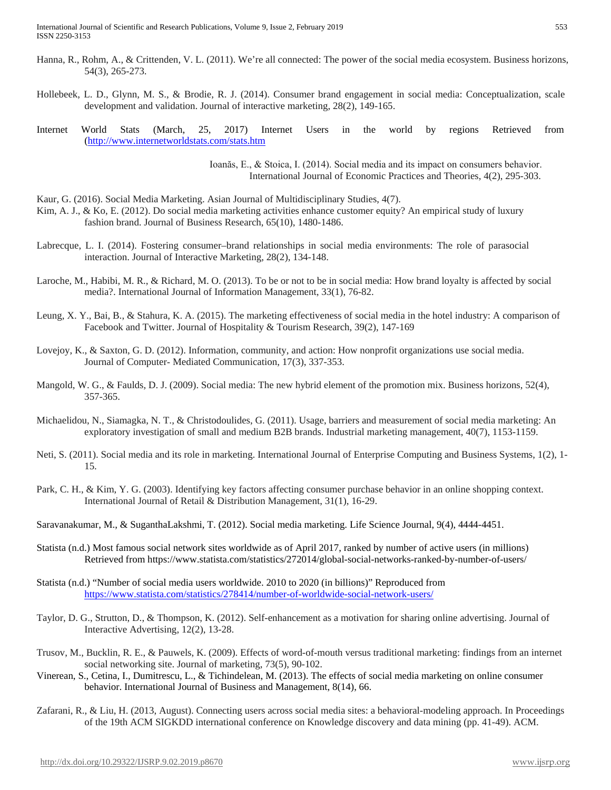- Hanna, R., Rohm, A., & Crittenden, V. L. (2011). We're all connected: The power of the social media ecosystem. Business horizons, 54(3), 265-273.
- Hollebeek, L. D., Glynn, M. S., & Brodie, R. J. (2014). Consumer brand engagement in social media: Conceptualization, scale development and validation. Journal of interactive marketing, 28(2), 149-165.
- Internet World Stats (March, 25, 2017) Internet Users in the world by regions Retrieved from [\(http://www.internetworldstats.com/stats.htm](http://www.internetworldstats.com/stats.htm)

Ioanăs, E., & Stoica, I. (2014). Social media and its impact on consumers behavior. International Journal of Economic Practices and Theories, 4(2), 295-303.

- Kaur, G. (2016). Social Media Marketing. Asian Journal of Multidisciplinary Studies, 4(7).
- Kim, A. J., & Ko, E. (2012). Do social media marketing activities enhance customer equity? An empirical study of luxury fashion brand. Journal of Business Research, 65(10), 1480-1486.
- Labrecque, L. I. (2014). Fostering consumer–brand relationships in social media environments: The role of parasocial interaction. Journal of Interactive Marketing, 28(2), 134-148.
- Laroche, M., Habibi, M. R., & Richard, M. O. (2013). To be or not to be in social media: How brand loyalty is affected by social media?. International Journal of Information Management, 33(1), 76-82.
- Leung, X. Y., Bai, B., & Stahura, K. A. (2015). The marketing effectiveness of social media in the hotel industry: A comparison of Facebook and Twitter. Journal of Hospitality & Tourism Research, 39(2), 147-169
- Lovejoy, K., & Saxton, G. D. (2012). Information, community, and action: How nonprofit organizations use social media. Journal of Computer‐ Mediated Communication, 17(3), 337-353.
- Mangold, W. G., & Faulds, D. J. (2009). Social media: The new hybrid element of the promotion mix. Business horizons, 52(4), 357-365.
- Michaelidou, N., Siamagka, N. T., & Christodoulides, G. (2011). Usage, barriers and measurement of social media marketing: An exploratory investigation of small and medium B2B brands. Industrial marketing management, 40(7), 1153-1159.
- Neti, S. (2011). Social media and its role in marketing. International Journal of Enterprise Computing and Business Systems, 1(2), 1- 15.
- Park, C. H., & Kim, Y. G. (2003). Identifying key factors affecting consumer purchase behavior in an online shopping context. International Journal of Retail & Distribution Management, 31(1), 16-29.
- Saravanakumar, M., & SuganthaLakshmi, T. (2012). Social media marketing. Life Science Journal, 9(4), 4444-4451.
- Statista (n.d.) Most famous social network sites worldwide as of April 2017, ranked by number of active users (in millions) Retrieved from https://www.statista.com/statistics/272014/global-social-networks-ranked-by-number-of-users/
- Statista (n.d.) "Number of social media users worldwide. 2010 to 2020 (in billions)" Reproduced from <https://www.statista.com/statistics/278414/number-of-worldwide-social-network-users/>
- Taylor, D. G., Strutton, D., & Thompson, K. (2012). Self-enhancement as a motivation for sharing online advertising. Journal of Interactive Advertising, 12(2), 13-28.
- Trusov, M., Bucklin, R. E., & Pauwels, K. (2009). Effects of word-of-mouth versus traditional marketing: findings from an internet social networking site. Journal of marketing, 73(5), 90-102.
- Vinerean, S., Cetina, I., Dumitrescu, L., & Tichindelean, M. (2013). The effects of social media marketing on online consumer behavior. International Journal of Business and Management, 8(14), 66.
- Zafarani, R., & Liu, H. (2013, August). Connecting users across social media sites: a behavioral-modeling approach. In Proceedings of the 19th ACM SIGKDD international conference on Knowledge discovery and data mining (pp. 41-49). ACM.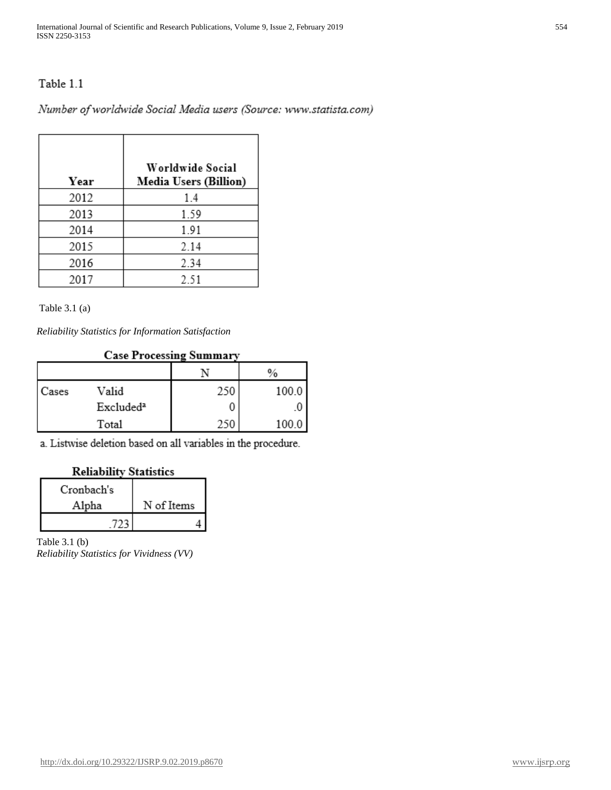# Table 1.1

Number of worldwide Social Media users (Source: www.statista.com)

| Year | Worldwide Social<br><b>Media Users (Billion)</b> |
|------|--------------------------------------------------|
| 2012 | 1.4                                              |
| 2013 | 1.59                                             |
| 2014 | 1.91                                             |
| 2015 | 2.14                                             |
| 2016 | 2.34                                             |
| 2017 | 2.51                                             |

Table 3.1 (a)

*Reliability Statistics for Information Satisfaction*

## **Case Processing Summary**

|       |                       |     | $\%$  |
|-------|-----------------------|-----|-------|
| Cases | Valid                 | 250 | 100.0 |
|       | Excluded <sup>a</sup> |     |       |
|       | Total                 |     | 100.0 |

a. Listwise deletion based on all variables in the procedure.

## **Reliability Statistics**

| Cronbach's |            |
|------------|------------|
| Alpha      | N of Items |
|            |            |

Table 3.1 (b) *Reliability Statistics for Vividness (VV)*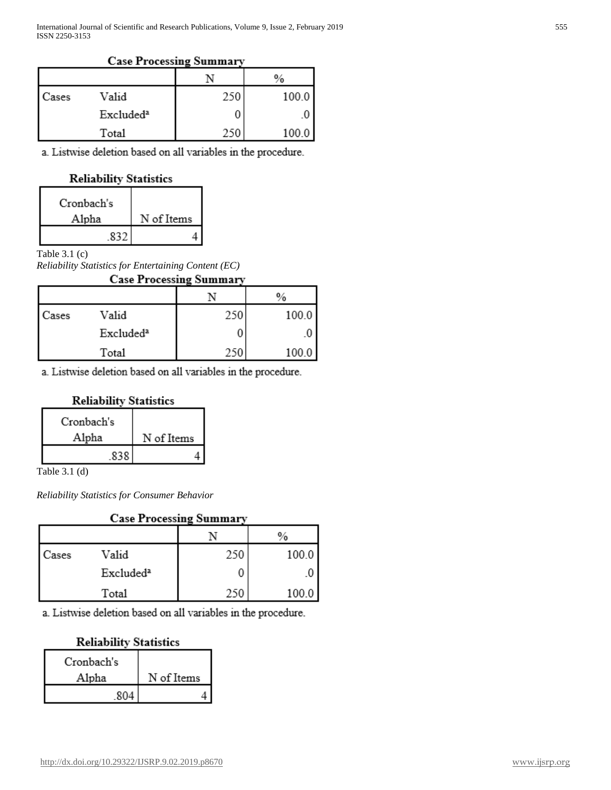### **Case Processing Summary**

|       |                       |     | $\%$  |
|-------|-----------------------|-----|-------|
| Cases | Valid                 | 250 | 100.0 |
|       | Excluded <sup>a</sup> |     |       |
|       | Total                 | 250 | '00.  |

a. Listwise deletion based on all variables in the procedure.

## **Reliability Statistics**

| Cronbach's |            |
|------------|------------|
| Alpha      | N of Items |
|            |            |

## Table 3.1 (c)

*Reliability Statistics for Entertaining Content (EC)*

| <b>Case Processing Summary</b> |                       |     |       |  |
|--------------------------------|-----------------------|-----|-------|--|
|                                |                       |     |       |  |
| Cases                          | Valid                 | 250 | 100.0 |  |
|                                | Excluded <sup>a</sup> |     |       |  |
|                                | Total                 | 250 | 100.0 |  |

a. Listwise deletion based on all variables in the procedure.

## **Reliability Statistics**

| Cronbach's |            |
|------------|------------|
| Alpha      | N of Items |
|            |            |

Table 3.1 (d)

*Reliability Statistics for Consumer Behavior*

| <b>Case Processing Summary</b> |                       |     |       |
|--------------------------------|-----------------------|-----|-------|
|                                |                       |     |       |
| Cases                          | Valid                 | 250 | 100.0 |
|                                | Excluded <sup>a</sup> |     |       |
|                                | Total                 | 250 | 100.0 |

a. Listwise deletion based on all variables in the procedure.

# **Reliability Statistics**

| Cronbach's |            |
|------------|------------|
| Alpha      | N of Items |
| 804        |            |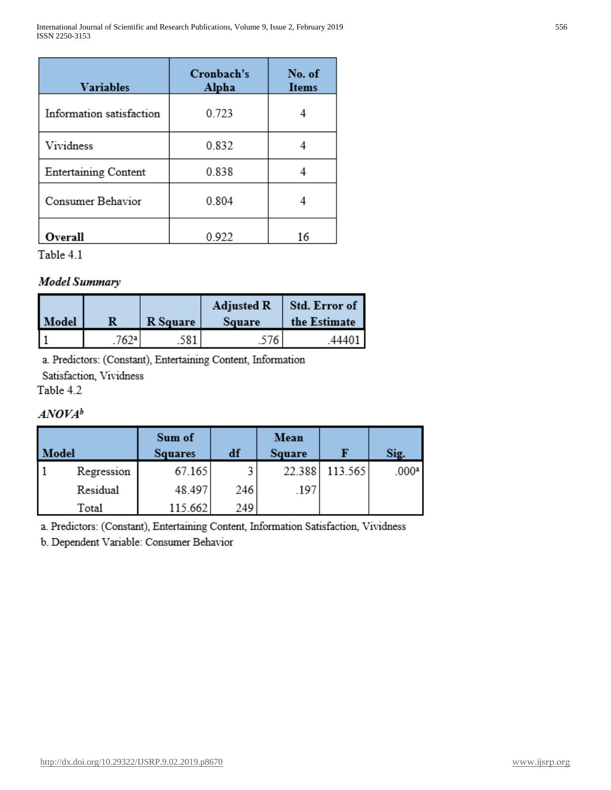| <b>Variables</b>            | Cronbach's<br>Alpha | No. of<br><b>Items</b> |
|-----------------------------|---------------------|------------------------|
| Information satisfaction    | 0.723               |                        |
| Vividness                   | 0.832               |                        |
| <b>Entertaining Content</b> | 0.838               |                        |
| Consumer Behavior           | 0.804               |                        |
| Overall                     | 0.922               | 16                     |

Table 4.1

# **Model Summary**

| Model | R    | R Square | <b>Adjusted R</b><br>Square | Std. Error of<br>the Estimate |
|-------|------|----------|-----------------------------|-------------------------------|
|       | 762a | .581     | 576                         | .4440                         |

a. Predictors: (Constant), Entertaining Content, Information

Satisfaction, Vividness

Table 4.2

# $ANOVA^b$

| Model |            | Sum of<br><b>Squares</b> | df  | Mean<br>Square |         | Sig.              |
|-------|------------|--------------------------|-----|----------------|---------|-------------------|
|       | Regression | 67.165                   |     | 22.388         | 113.565 | .000 <sup>a</sup> |
|       | Residual   | 48.497                   | 246 | .197           |         |                   |
|       | Total      | 115.662                  | 249 |                |         |                   |

a. Predictors: (Constant), Entertaining Content, Information Satisfaction, Vividness

b. Dependent Variable: Consumer Behavior